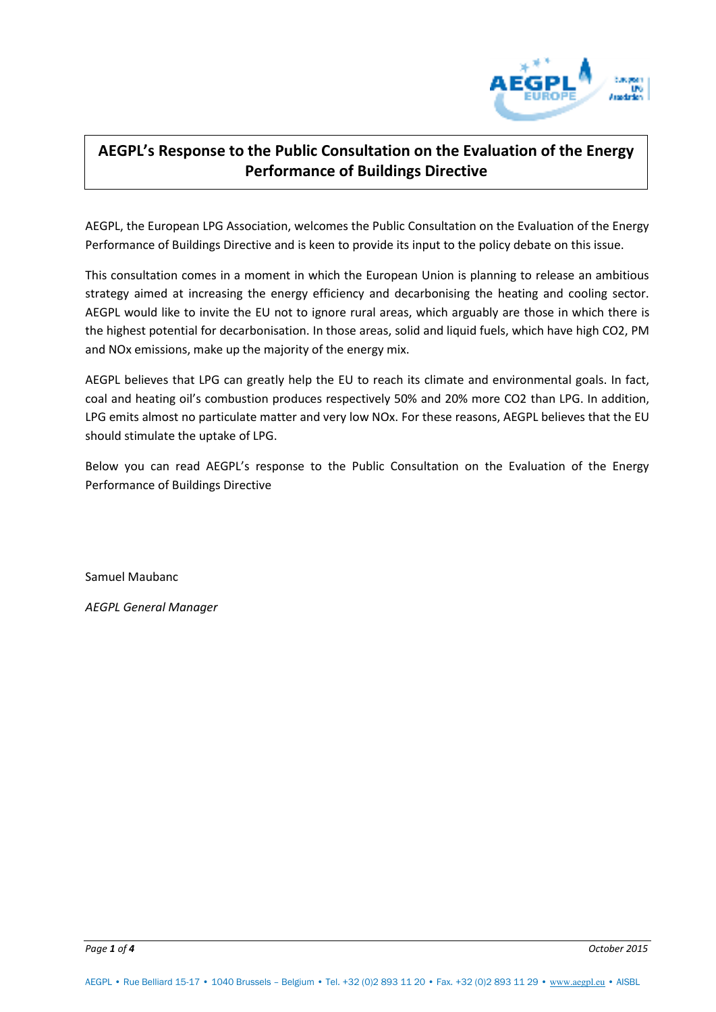

# **AEGPL's Response to the Public Consultation on the Evaluation of the Energy Performance of Buildings Directive**

AEGPL, the European LPG Association, welcomes the Public Consultation on the Evaluation of the Energy Performance of Buildings Directive and is keen to provide its input to the policy debate on this issue.

This consultation comes in a moment in which the European Union is planning to release an ambitious strategy aimed at increasing the energy efficiency and decarbonising the heating and cooling sector. AEGPL would like to invite the EU not to ignore rural areas, which arguably are those in which there is the highest potential for decarbonisation. In those areas, solid and liquid fuels, which have high CO2, PM and NOx emissions, make up the majority of the energy mix.

AEGPL believes that LPG can greatly help the EU to reach its climate and environmental goals. In fact, coal and heating oil's combustion produces respectively 50% and 20% more CO2 than LPG. In addition, LPG emits almost no particulate matter and very low NOx. For these reasons, AEGPL believes that the EU should stimulate the uptake of LPG.

Below you can read AEGPL's response to the Public Consultation on the Evaluation of the Energy Performance of Buildings Directive

Samuel Maubanc

*AEGPL General Manager*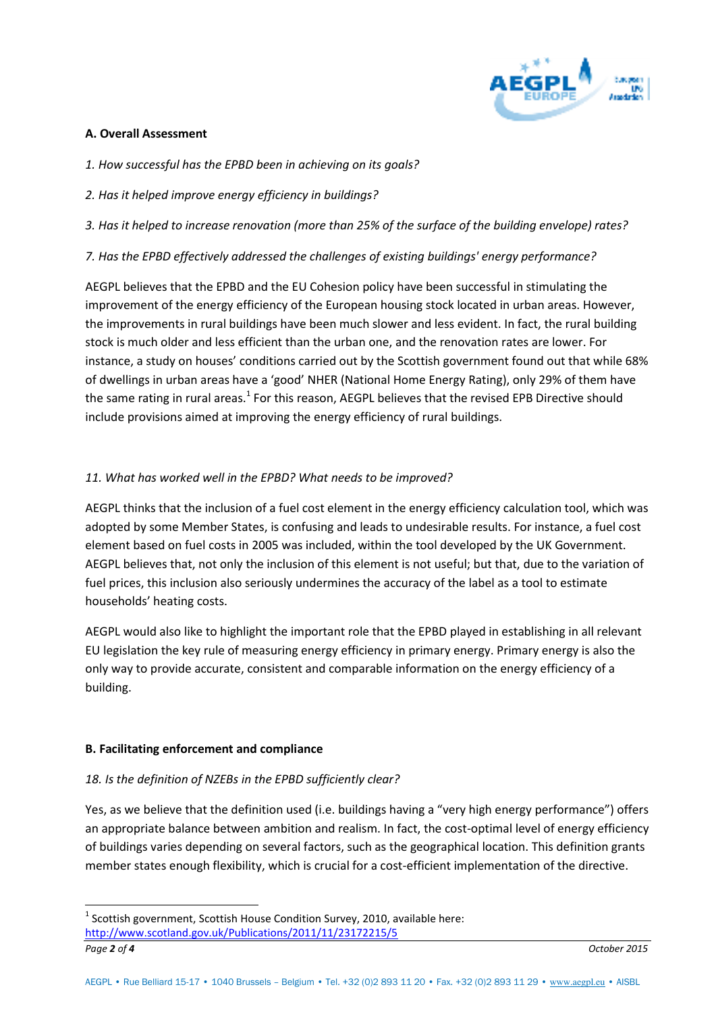

#### **A. Overall Assessment**

*1. How successful has the EPBD been in achieving on its goals?* 

*2. Has it helped improve energy efficiency in buildings?* 

*3. Has it helped to increase renovation (more than 25% of the surface of the building envelope) rates?*

### *7. Has the EPBD effectively addressed the challenges of existing buildings' energy performance?*

AEGPL believes that the EPBD and the EU Cohesion policy have been successful in stimulating the improvement of the energy efficiency of the European housing stock located in urban areas. However, the improvements in rural buildings have been much slower and less evident. In fact, the rural building stock is much older and less efficient than the urban one, and the renovation rates are lower. For instance, a study on houses' conditions carried out by the Scottish government found out that while 68% of dwellings in urban areas have a 'good' NHER (National Home Energy Rating), only 29% of them have the same rating in rural areas.<sup>1</sup> For this reason, AEGPL believes that the revised EPB Directive should include provisions aimed at improving the energy efficiency of rural buildings.

## *11. What has worked well in the EPBD? What needs to be improved?*

AEGPL thinks that the inclusion of a fuel cost element in the energy efficiency calculation tool, which was adopted by some Member States, is confusing and leads to undesirable results. For instance, a fuel cost element based on fuel costs in 2005 was included, within the tool developed by the UK Government. AEGPL believes that, not only the inclusion of this element is not useful; but that, due to the variation of fuel prices, this inclusion also seriously undermines the accuracy of the label as a tool to estimate households' heating costs.

AEGPL would also like to highlight the important role that the EPBD played in establishing in all relevant EU legislation the key rule of measuring energy efficiency in primary energy. Primary energy is also the only way to provide accurate, consistent and comparable information on the energy efficiency of a building.

#### **B. Facilitating enforcement and compliance**

#### *18. Is the definition of NZEBs in the EPBD sufficiently clear?*

Yes, as we believe that the definition used (i.e. buildings having a "very high energy performance") offers an appropriate balance between ambition and realism. In fact, the cost-optimal level of energy efficiency of buildings varies depending on several factors, such as the geographical location. This definition grants member states enough flexibility, which is crucial for a cost-efficient implementation of the directive.

 $\overline{a}$ 

*Page 2 of 4 October 2015*  $^1$  Scottish government, Scottish House Condition Survey, 2010, available here: <http://www.scotland.gov.uk/Publications/2011/11/23172215/5>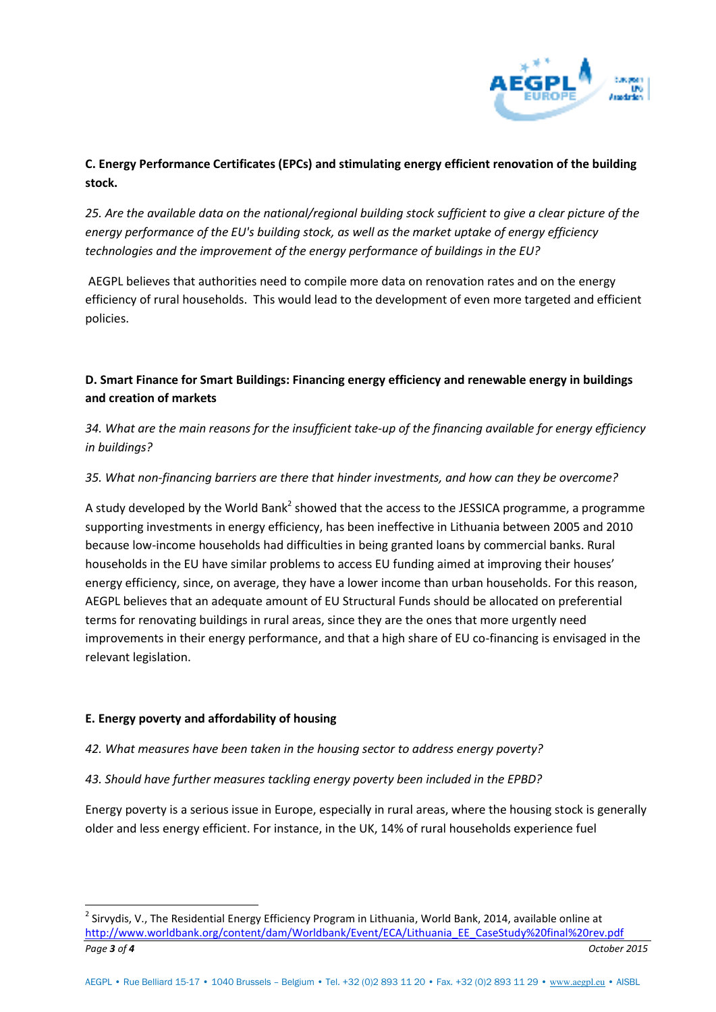

# **C. Energy Performance Certificates (EPCs) and stimulating energy efficient renovation of the building stock.**

*25. Are the available data on the national/regional building stock sufficient to give a clear picture of the energy performance of the EU's building stock, as well as the market uptake of energy efficiency technologies and the improvement of the energy performance of buildings in the EU?* 

 AEGPL believes that authorities need to compile more data on renovation rates and on the energy efficiency of rural households. This would lead to the development of even more targeted and efficient policies.

# **D. Smart Finance for Smart Buildings: Financing energy efficiency and renewable energy in buildings and creation of markets**

*34. What are the main reasons for the insufficient take-up of the financing available for energy efficiency in buildings?* 

# *35. What non-financing barriers are there that hinder investments, and how can they be overcome?*

A study developed by the World Bank<sup>2</sup> showed that the access to the JESSICA programme, a programme supporting investments in energy efficiency, has been ineffective in Lithuania between 2005 and 2010 because low-income households had difficulties in being granted loans by commercial banks. Rural households in the EU have similar problems to access EU funding aimed at improving their houses' energy efficiency, since, on average, they have a lower income than urban households. For this reason, AEGPL believes that an adequate amount of EU Structural Funds should be allocated on preferential terms for renovating buildings in rural areas, since they are the ones that more urgently need improvements in their energy performance, and that a high share of EU co-financing is envisaged in the relevant legislation.

## **E. Energy poverty and affordability of housing**

 $\overline{a}$ 

## *42. What measures have been taken in the housing sector to address energy poverty?*

## *43. Should have further measures tackling energy poverty been included in the EPBD?*

Energy poverty is a serious issue in Europe, especially in rural areas, where the housing stock is generally older and less energy efficient. For instance, in the UK, 14% of rural households experience fuel

*Page 3 of 4 October 2015* <sup>2</sup> Sirvydis, V., The Residential Energy Efficiency Program in Lithuania, World Bank, 2014, available online at [http://www.worldbank.org/content/dam/Worldbank/Event/ECA/Lithuania\\_EE\\_CaseStudy%20final%20rev.pdf](http://www.worldbank.org/content/dam/Worldbank/Event/ECA/Lithuania_EE_CaseStudy%20final%20rev.pdf)